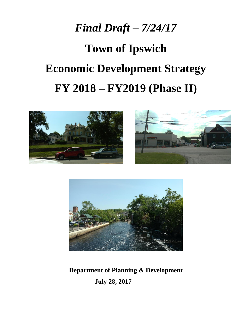## *Final Draft – 7/24/17*

# **Town of Ipswich Economic Development Strategy FY 2018 – FY2019 (Phase II)**





**Department of Planning & Development July 28, 2017**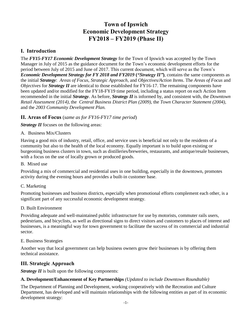### **Town of Ipswich Economic Development Strategy FY2018 – FY2019 (Phase II)**

#### **I. Introduction**

The *FY15-FY17 Economic Development Strategy* for the Town of Ipswich was accepted by the Town Manager in July of 2015 as the guidance document for the Town's economic development efforts for the period between July of 2015 and June of 2017. This current document, which will serve as the Town's *Economic Development Strategy for FY 2018 and FY2019* **(***"Strategy II"***)**, contains the same components as the initial *Strategy*: *Areas of Focus*, *Strategic Approach*, and *Objectives/Action Items*. The *Areas of Focus* and *Objectives* for *Strategy II* are identical to those established for FY16-17. The remaining components have been updated and/or modified for the FY18-FY19 time period, including a status report on each Action Item recommended in the initial *Strategy*. As before, *Strategy II* is informed by, and consistent with, the *Downtown Retail Assessment (2014)*, the *Central Business District Plan (2009)*, the *Town Character Statement (2004)*, and the *2003 Community Development Plan.*

#### **II. Areas of Focus** (*same as for FY16-FY17 time period*)

*Strategy II* focuses on the following areas:

#### A. Business Mix/Clusters

Having a good mix of industry, retail, office, and service uses is beneficial not only to the residents of a community but also to the health of the local economy. Equally important is to build upon existing or burgeoning business clusters in town, such as distilleries/breweries, restaurants, and antique/resale businesses, with a focus on the use of locally grown or produced goods.

#### B. Mixed use

Providing a mix of commercial and residential uses in one building, especially in the downtown, promotes activity during the evening hours and provides a built-in customer base.

#### C. Marketing

Promoting businesses and business districts, especially when promotional efforts complement each other, is a significant part of any successful economic development strategy.

#### D. Built Environment

Providing adequate and well-maintained public infrastructure for use by motorists, commuter rails users, pedestrians, and bicyclists, as well as directional signs to direct visitors and customers to places of interest and businesses, is a meaningful way for town government to facilitate the success of its commercial and industrial sector.

#### E. Business Strategies

Another way that local government can help business owners grow their businesses is by offering them technical assistance.

#### **III. Strategic Approach**

*Strategy II* is built upon the following components:

#### **A. Development/Enhancement of Key Partnerships** *(Updated to include Downtown Roundtable)*

The Department of Planning and Development, working cooperatively with the Recreation and Culture Department, has developed and will maintain relationships with the following entities as part of its economic development strategy: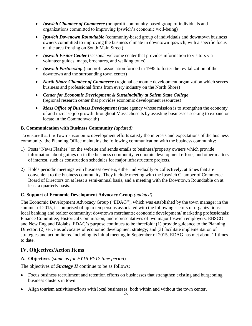- *Ipswich Chamber of Commerce* (nonprofit community-based group of individuals and organizations committed to improving Ipswich's economic well-being)
- *Ipswich Downtown Roundtable* (community-based group of individuals and downtown business owners committed to improving the business climate in downtown Ipswich, with a specific focus on the area fronting on South Main Street)
- *Ipswich Visitor Center* (seasonal welcome center that provides information to visitors via volunteer guides, maps, brochures, and walking tours)
- *Ipswich Partnership* (nonprofit association formed in 1995 to foster the revitalization of the downtown and the surrounding town center)
- *North Shore Chamber of Commerce* (regional economic development organization which serves business and professional firms from every industry on the North Shore)
- *Center for Economic Development & Sustainability at Salem State College*  (regional research center that provides economic development resources)
- *Mass Office of Business Development* (state agency whose mission is to strengthen the economy of and increase job growth throughout Massachusetts by assisting businesses seeking to expand or locate in the Commonwealth)

#### **B. Communication with Business Community** *(updated)*

To ensure that the Town's economic development efforts satisfy the interests and expectations of the business community, the Planning Office maintains the following communication with the business community:

- 1) Posts "News Flashes" on the website and sends emails to business/property owners which provide information about goings on in the business community, economic development efforts, and other matters of interest, such as construction schedules for major infrastructure projects.
- 2) Holds periodic meetings with business owners, either individually or collectively, at times that are convenient to the business community. They include meeting with the Ipswich Chamber of Commerce Board of Directors on at least a semi-annual basis, and a meeting with the Downtown Roundtable on at least a quarterly basis.

#### **C. Support of Economic Development Advocacy Group** *(updated)*

The Economic Development Advocacy Group ("EDAG"), which was established by the town manager in the summer of 2015, is comprised of up to ten persons associated with the following sectors or organizations: local banking and realtor community; downtown merchants; economic development/ marketing professionals; Finance Committee; Historical Commission; and representatives of two major Ipswich employers, EBSCO and New England Biolabs. EDAG's purpose continues to be threefold: (1) provide guidance to the Planning Director; (2) serve as advocates of economic development strategy; and (3) facilitate implementation of strategies and action items. Including its initial meeting in September of 2015, EDAG has met about 11 times to date.

#### **IV. Objectives/Action Items**

#### **A. Objectives** (*same as for FY16-FY17 time period*)

The objectives of *Strategy II* continue to be as follows:

- Focus business recruitment and retention efforts on businesses that strengthen existing and burgeoning business clusters in town.
- Align tourism activities/efforts with local businesses, both within and without the town center.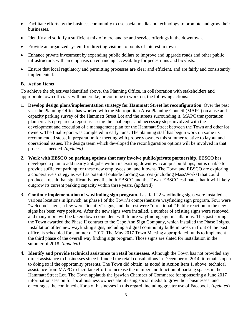- Facilitate efforts by the business community to use social media and technology to promote and grow their businesses.
- Identify and solidify a sufficient mix of merchandise and service offerings in the downtown.
- Provide an organized system for directing visitors to points of interest in town
- Enhance private investment by expending public dollars to improve and upgrade roads and other public infrastructure, with an emphasis on enhancing accessibility for pedestrians and bicylists.
- Ensure that local regulatory and permitting processes are clear and efficient, and are fairly and consistently implemented.

#### **B. Action Items**

To achieve the objectives identified above, the Planning Office, in collaboration with stakeholders and appropriate town officials, will undertake, or continue to work on, the following actions:

- **1. Develop design plans/implementation strategy for Hammatt Street lot reconfiguration**. Over the past year the Planning Office has worked with the Metropolitan Area Planning Council (MAPC) on a use and capacity parking survey of the Hammatt Street Lot and the streets surrounding it. MAPC transportation planners also prepared a report assessing the challenges and necessary steps involved with the development and execution of a management plan for the Hammatt Street between the Town and other lot owners. The final report was completed in early June. The planning staff has begun work on some its recommended steps, in preparation for meeting with property owners this summer relative to layout and operational issues. The design team which developed the reconfiguration options will be involved in that process as needed. *(updated)*
- **2. Work with EBSCO on parking options that may involve public/private partnership.** EBSCO has developed a plan to add nearly 250 jobs within its existing downtown campus buildings, but is unable to provide sufficient parking for these new employees on land it owns. The Town and EBSCO are exploring a cooperative strategy as well as potential outside funding sources (including MassWorks) that could produce a result that significantly benefits both EBSCO and the Town. EBSCO estimates that it will likely outgrow its current parking capacity within three years. (*updated*)
- **3. Continue implementation of wayfinding sign program.** Last fall 22 wayfinding signs were installed at various locations in Ipswich, as phase I of the Town's comprehensive wayfinding sign program. Four were "welcome" signs, a few were "identity" signs, and the rest were "directional." Public reaction to the new signs has been very positive. After the new signs were installed, a number of existing signs were removed, and many more will be taken down coincident with future wayfinding sign installations. This past spring the Town awarded the Phase II contract to the Cape Ann Sign Company, which installed the Phase I signs. Installation of ten new wayfinding signs, including a digital community bulletin kiosk in front of the post office, is scheduled for summer of 2017. The May 2017 Town Meeting appropriated funds to implement the third phase of the overall way finding sign program. Those signs are slated for installation in the summer of 2018. *(updated)*
- **4. Identify and provide technical assistance to retail businesses.** Although the Town has not provided any direct assistance to businesses since it funded the retail consultations in December of 2014, it remains open to doing so if the opportunity presents. The Town did obtain, as noted in Action Item 1. above, technical assistance from MAPC to facilitate effort to increase the number and function of parking spaces in the Hammatt Street Lot. The Town applauds the Ipswich Chamber of Commerce for sponsoring a June 2017 information session for local business owners about using social media to grow their businesses, and encourages the continued efforts of businesses in this regard, including greater use of Facebook. (*updated*)